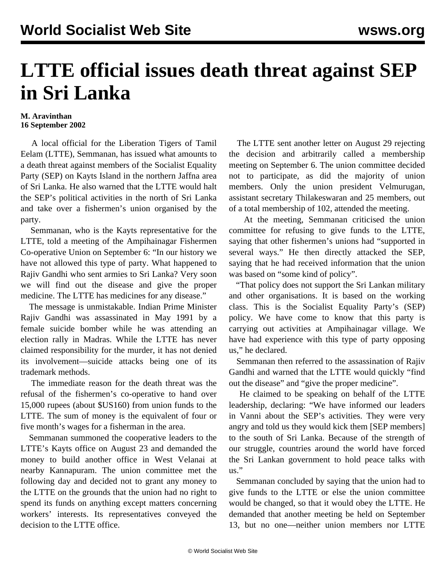## **LTTE official issues death threat against SEP in Sri Lanka**

## **M. Aravinthan 16 September 2002**

 A local official for the Liberation Tigers of Tamil Eelam (LTTE), Semmanan, has issued what amounts to a death threat against members of the Socialist Equality Party (SEP) on Kayts Island in the northern Jaffna area of Sri Lanka. He also warned that the LTTE would halt the SEP's political activities in the north of Sri Lanka and take over a fishermen's union organised by the party.

 Semmanan, who is the Kayts representative for the LTTE, told a meeting of the Ampihainagar Fishermen Co-operative Union on September 6: "In our history we have not allowed this type of party. What happened to Rajiv Gandhi who sent armies to Sri Lanka? Very soon we will find out the disease and give the proper medicine. The LTTE has medicines for any disease."

 The message is unmistakable. Indian Prime Minister Rajiv Gandhi was assassinated in May 1991 by a female suicide bomber while he was attending an election rally in Madras. While the LTTE has never claimed responsibility for the murder, it has not denied its involvement—suicide attacks being one of its trademark methods.

 The immediate reason for the death threat was the refusal of the fishermen's co-operative to hand over 15,000 rupees (about \$US160) from union funds to the LTTE. The sum of money is the equivalent of four or five month's wages for a fisherman in the area.

 Semmanan summoned the cooperative leaders to the LTTE's Kayts office on August 23 and demanded the money to build another office in West Velanai at nearby Kannapuram. The union committee met the following day and decided not to grant any money to the LTTE on the grounds that the union had no right to spend its funds on anything except matters concerning workers' interests. Its representatives conveyed the decision to the LTTE office.

 The LTTE sent another letter on August 29 rejecting the decision and arbitrarily called a membership meeting on September 6. The union committee decided not to participate, as did the majority of union members. Only the union president Velmurugan, assistant secretary Thilakeswaran and 25 members, out of a total membership of 102, attended the meeting.

 At the meeting, Semmanan criticised the union committee for refusing to give funds to the LTTE, saying that other fishermen's unions had "supported in several ways." He then directly attacked the SEP, saying that he had received information that the union was based on "some kind of policy".

 "That policy does not support the Sri Lankan military and other organisations. It is based on the working class. This is the Socialist Equality Party's (SEP) policy. We have come to know that this party is carrying out activities at Ampihainagar village. We have had experience with this type of party opposing us," he declared.

 Semmanan then referred to the assassination of Rajiv Gandhi and warned that the LTTE would quickly "find out the disease" and "give the proper medicine".

 He claimed to be speaking on behalf of the LTTE leadership, declaring: "We have informed our leaders in Vanni about the SEP's activities. They were very angry and told us they would kick them [SEP members] to the south of Sri Lanka. Because of the strength of our struggle, countries around the world have forced the Sri Lankan government to hold peace talks with us."

 Semmanan concluded by saying that the union had to give funds to the LTTE or else the union committee would be changed, so that it would obey the LTTE. He demanded that another meeting be held on September 13, but no one—neither union members nor LTTE